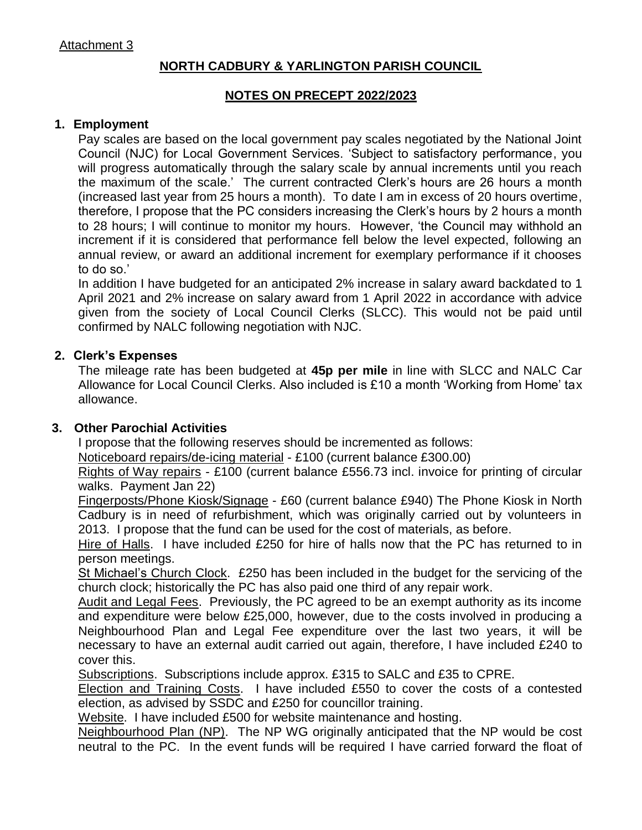# **NORTH CADBURY & YARLINGTON PARISH COUNCIL**

### **NOTES ON PRECEPT 2022/2023**

#### **1. Employment**

Pay scales are based on the local government pay scales negotiated by the National Joint Council (NJC) for Local Government Services. 'Subject to satisfactory performance, you will progress automatically through the salary scale by annual increments until you reach the maximum of the scale.' The current contracted Clerk's hours are 26 hours a month (increased last year from 25 hours a month). To date I am in excess of 20 hours overtime, therefore, I propose that the PC considers increasing the Clerk's hours by 2 hours a month to 28 hours; I will continue to monitor my hours. However, 'the Council may withhold an increment if it is considered that performance fell below the level expected, following an annual review, or award an additional increment for exemplary performance if it chooses to do so.'

In addition I have budgeted for an anticipated 2% increase in salary award backdated to 1 April 2021 and 2% increase on salary award from 1 April 2022 in accordance with advice given from the society of Local Council Clerks (SLCC). This would not be paid until confirmed by NALC following negotiation with NJC.

### **2. Clerk's Expenses**

The mileage rate has been budgeted at **45p per mile** in line with SLCC and NALC Car Allowance for Local Council Clerks. Also included is £10 a month 'Working from Home' tax allowance.

### **3. Other Parochial Activities**

I propose that the following reserves should be incremented as follows:

Noticeboard repairs/de-icing material - £100 (current balance £300.00)

Rights of Way repairs - £100 (current balance £556.73 incl. invoice for printing of circular walks. Payment Jan 22)

Fingerposts/Phone Kiosk/Signage - £60 (current balance £940) The Phone Kiosk in North Cadbury is in need of refurbishment, which was originally carried out by volunteers in 2013. I propose that the fund can be used for the cost of materials, as before.

Hire of Halls. I have included £250 for hire of halls now that the PC has returned to in person meetings.

St Michael's Church Clock. £250 has been included in the budget for the servicing of the church clock; historically the PC has also paid one third of any repair work.

Audit and Legal Fees. Previously, the PC agreed to be an exempt authority as its income and expenditure were below £25,000, however, due to the costs involved in producing a Neighbourhood Plan and Legal Fee expenditure over the last two years, it will be necessary to have an external audit carried out again, therefore, I have included £240 to cover this.

Subscriptions. Subscriptions include approx. £315 to SALC and £35 to CPRE.

Election and Training Costs. I have included £550 to cover the costs of a contested election, as advised by SSDC and £250 for councillor training.

Website. I have included £500 for website maintenance and hosting.

Neighbourhood Plan (NP). The NP WG originally anticipated that the NP would be cost neutral to the PC. In the event funds will be required I have carried forward the float of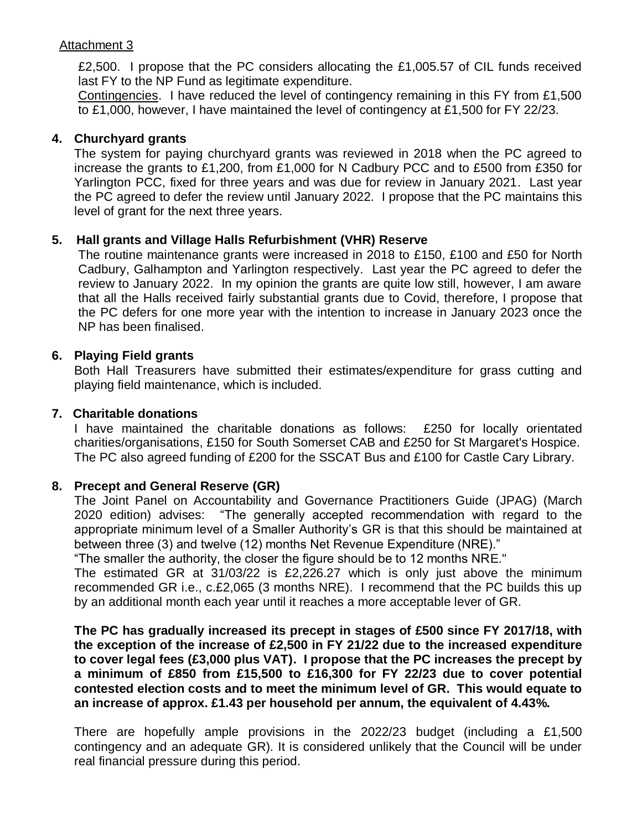## Attachment 3

£2,500. I propose that the PC considers allocating the £1,005.57 of CIL funds received last FY to the NP Fund as legitimate expenditure.

Contingencies. I have reduced the level of contingency remaining in this FY from £1,500 to £1,000, however, I have maintained the level of contingency at £1,500 for FY 22/23.

## **4. Churchyard grants**

The system for paying churchyard grants was reviewed in 2018 when the PC agreed to increase the grants to £1,200, from £1,000 for N Cadbury PCC and to £500 from £350 for Yarlington PCC, fixed for three years and was due for review in January 2021. Last year the PC agreed to defer the review until January 2022. I propose that the PC maintains this level of grant for the next three years.

### **5. Hall grants and Village Halls Refurbishment (VHR) Reserve**

The routine maintenance grants were increased in 2018 to £150, £100 and £50 for North Cadbury, Galhampton and Yarlington respectively. Last year the PC agreed to defer the review to January 2022. In my opinion the grants are quite low still, however, I am aware that all the Halls received fairly substantial grants due to Covid, therefore, I propose that the PC defers for one more year with the intention to increase in January 2023 once the NP has been finalised.

### **6. Playing Field grants**

Both Hall Treasurers have submitted their estimates/expenditure for grass cutting and playing field maintenance, which is included.

### **7. Charitable donations**

I have maintained the charitable donations as follows: £250 for locally orientated charities/organisations, £150 for South Somerset CAB and £250 for St Margaret's Hospice. The PC also agreed funding of £200 for the SSCAT Bus and £100 for Castle Cary Library.

### **8. Precept and General Reserve (GR)**

The Joint Panel on Accountability and Governance Practitioners Guide (JPAG) (March 2020 edition) advises: "The generally accepted recommendation with regard to the appropriate minimum level of a Smaller Authority's GR is that this should be maintained at between three (3) and twelve (12) months Net Revenue Expenditure (NRE)."

"The smaller the authority, the closer the figure should be to 12 months NRE."

The estimated GR at 31/03/22 is £2,226.27 which is only just above the minimum recommended GR i.e., c.£2,065 (3 months NRE). I recommend that the PC builds this up by an additional month each year until it reaches a more acceptable lever of GR.

**The PC has gradually increased its precept in stages of £500 since FY 2017/18, with the exception of the increase of £2,500 in FY 21/22 due to the increased expenditure to cover legal fees (£3,000 plus VAT). I propose that the PC increases the precept by a minimum of £850 from £15,500 to £16,300 for FY 22/23 due to cover potential contested election costs and to meet the minimum level of GR. This would equate to an increase of approx. £1.43 per household per annum, the equivalent of 4.43%.**

There are hopefully ample provisions in the 2022/23 budget (including a £1,500 contingency and an adequate GR). It is considered unlikely that the Council will be under real financial pressure during this period.